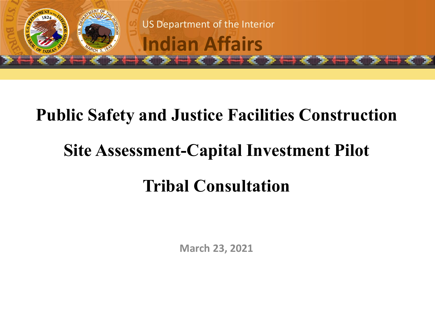

#### **Public Safety and Justice Facilities Construction**

## **Site Assessment-Capital Investment Pilot**

#### **Tribal Consultation**

**March 23, 2021**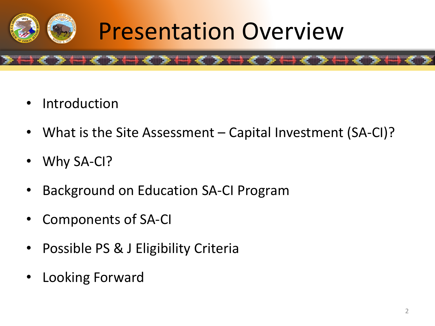

## **Presentation Overview**

- Introduction
- What is the Site Assessment Capital Investment (SA-CI)?
- Why SA-CI?
- Background on Education SA-CI Program

**The Community** 

- Components of SA-CI
- Possible PS & J Eligibility Criteria
- Looking Forward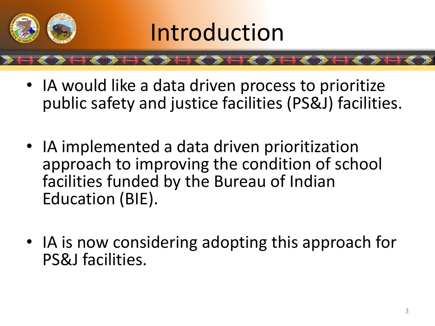

- IA would like a data driven process to prioritize public safety and justice facilities (PS&J) facilities.
- IA implemented a data driven prioritization approach to improving the condition of school facilities funded by the Bureau of Indian Education (BIE).
- IA is now considering adopting this approach for PS&J facilities.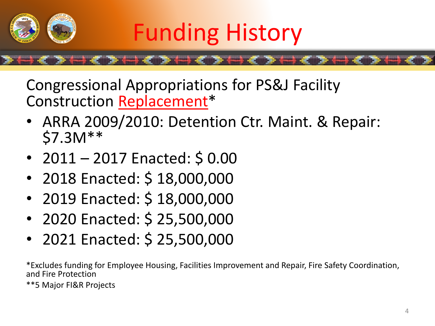

Congressional Appropriations for PS&J Facility Construction Replacement\*

- ARRA 2009/2010: Detention Ctr. Maint. & Repair: \$7.3M\*\*
- 2011 2017 Enacted:  $$0.00$
- 2018 Enacted: \$ 18,000,000
- 2019 Enacted: \$ 18,000,000
- 2020 Enacted: \$ 25,500,000
- 2021 Enacted: \$ 25,500,000

\*Excludes funding for Employee Housing, Facilities Improvement and Repair, Fire Safety Coordination, and Fire Protection

\*\*5 Major FI&R Projects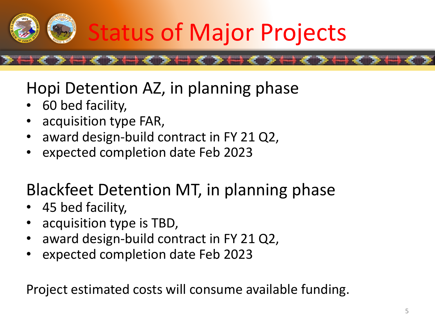

#### Hopi Detention AZ, in planning phase

- 60 bed facility,
- acquisition type FAR,
- award design-build contract in FY 21 Q2,
- expected completion date Feb 2023

#### Blackfeet Detention MT, in planning phase

- 45 bed facility,
- acquisition type is TBD,
- award design-build contract in FY 21 Q2,
- expected completion date Feb 2023

Project estimated costs will consume available funding.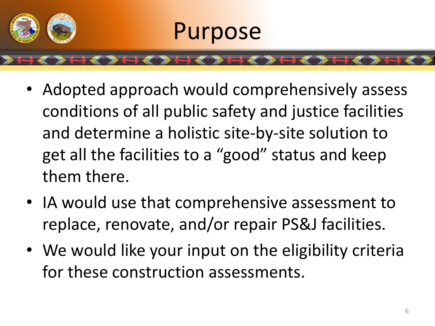

## Purpose

- Adopted approach would comprehensively assess conditions of all public safety and justice facilities and determine a holistic site-by-site solution to get all the facilities to a "good" status and keep them there.
- IA would use that comprehensive assessment to replace, renovate, and/or repair PS&J facilities.
- We would like your input on the eligibility criteria for these construction assessments.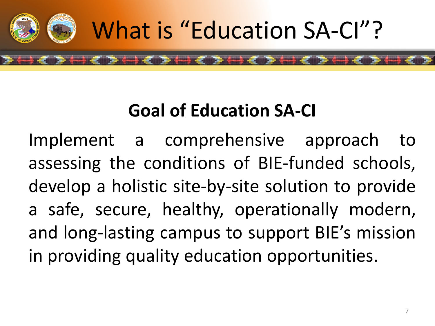

#### **Goal of Education SA-CI**

Implement a comprehensive approach to assessing the conditions of BIE-funded schools, develop a holistic site-by-site solution to provide a safe, secure, healthy, operationally modern, and long-lasting campus to support BIE's mission in providing quality education opportunities.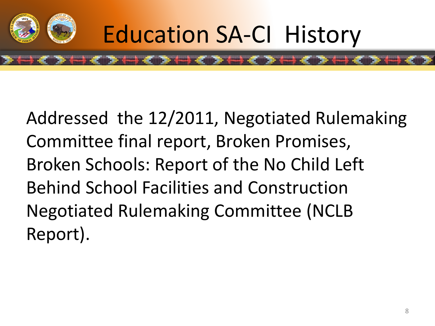

Addressed the 12/2011, Negotiated Rulemaking Committee final report, Broken Promises, Broken Schools: Report of the No Child Left Behind School Facilities and Construction Negotiated Rulemaking Committee (NCLB Report).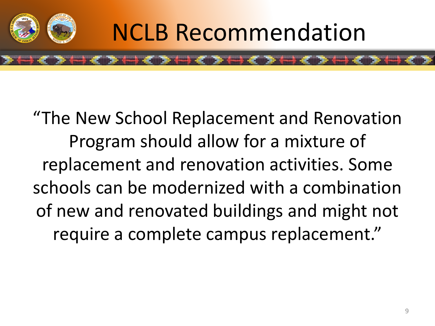

## **NCLB Recommendation**

#### "The New School Replacement and Renovation Program should allow for a mixture of replacement and renovation activities. Some schools can be modernized with a combination of new and renovated buildings and might not require a complete campus replacement."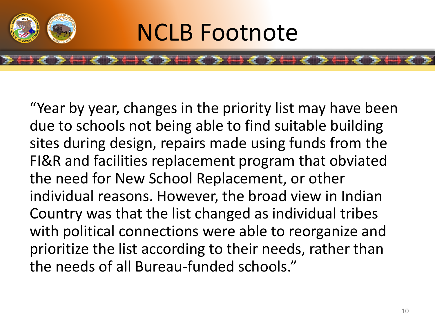

## NCLB Footnote

"Year by year, changes in the priority list may have been due to schools not being able to find suitable building sites during design, repairs made using funds from the FI&R and facilities replacement program that obviated the need for New School Replacement, or other individual reasons. However, the broad view in Indian Country was that the list changed as individual tribes with political connections were able to reorganize and prioritize the list according to their needs, rather than the needs of all Bureau-funded schools."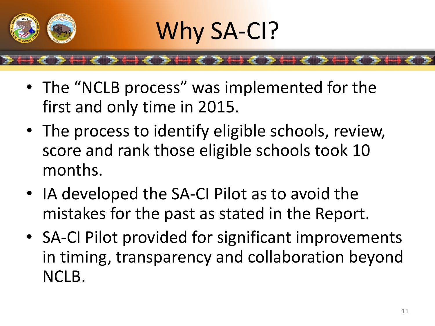

## Why SA-CI?

• The "NCLB process" was implemented for the first and only time in 2015.

- The process to identify eligible schools, review, score and rank those eligible schools took 10 months.
- IA developed the SA-CI Pilot as to avoid the mistakes for the past as stated in the Report.
- SA-CI Pilot provided for significant improvements in timing, transparency and collaboration beyond NCLB.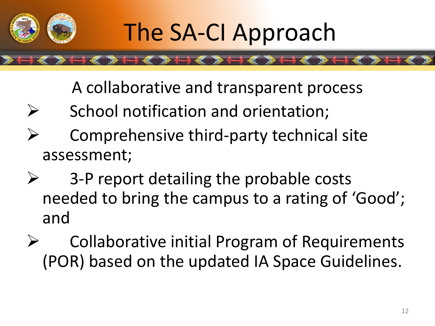

A collaborative and transparent process

- $\triangleright$  School notification and orientation;
- $\triangleright$  Comprehensive third-party technical site assessment;
- $\triangleright$  3-P report detailing the probable costs needed to bring the campus to a rating of 'Good'; and
- Collaborative initial Program of Requirements (POR) based on the updated IA Space Guidelines.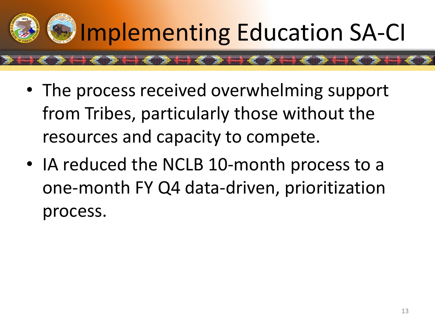

- The process received overwhelming support from Tribes, particularly those without the resources and capacity to compete.
- IA reduced the NCLB 10-month process to a one-month FY Q4 data-driven, prioritization process.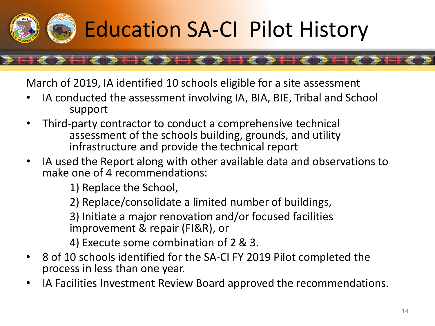

## Education SA<sup>T</sup>CI Pilot History

March of 2019, IA identified 10 schools eligible for a site assessment

**\*\*\*\*\*\*\*\*\*\*\*\*** 

- IA conducted the assessment involving IA, BIA, BIE, Tribal and School support
- Third-party contractor to conduct a comprehensive technical assessment of the schools building, grounds, and utility infrastructure and provide the technical report
- IA used the Report along with other available data and observations to make one of 4 recommendations:

1) Replace the School,

2) Replace/consolidate a limited number of buildings,

3) Initiate a major renovation and/or focused facilities improvement & repair (FI&R), or

4) Execute some combination of 2 & 3.

- 8 of 10 schools identified for the SA-CI FY 2019 Pilot completed the process in less than one year.
- IA Facilities Investment Review Board approved the recommendations.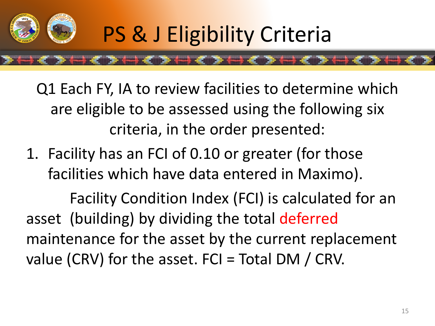

Q1 Each FY, IA to review facilities to determine which are eligible to be assessed using the following six criteria, in the order presented:

1. Facility has an FCI of 0.10 or greater (for those facilities which have data entered in Maximo).

Facility Condition Index (FCI) is calculated for an asset (building) by dividing the total deferred maintenance for the asset by the current replacement value (CRV) for the asset.  $FCI = Total DM / CRV$ .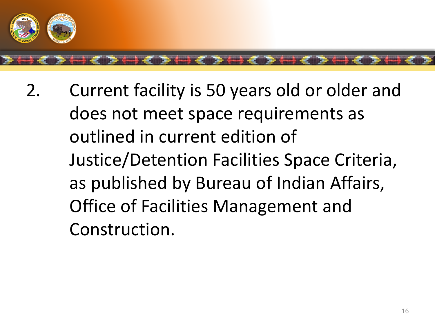

2. Current facility is 50 years old or older and does not meet space requirements as outlined in current edition of Justice/Detention Facilities Space Criteria, as published by Bureau of Indian Affairs, Office of Facilities Management and Construction.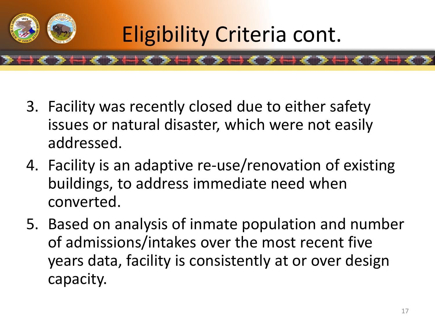

Eligibility Criteria cont.

- 3. Facility was recently closed due to either safety issues or natural disaster, which were not easily addressed.
- 4. Facility is an adaptive re-use/renovation of existing buildings, to address immediate need when converted.
- 5. Based on analysis of inmate population and number of admissions/intakes over the most recent five years data, facility is consistently at or over design capacity.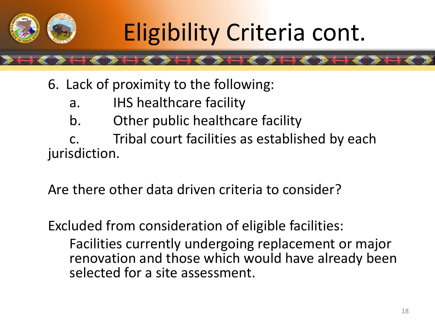

- 6. Lack of proximity to the following:
	- a. IHS healthcare facility
	- b. Other public healthcare facility

c. Tribal court facilities as established by each jurisdiction.

Are there other data driven criteria to consider?

Excluded from consideration of eligible facilities:

Facilities currently undergoing replacement or major renovation and those which would have already been selected for a site assessment.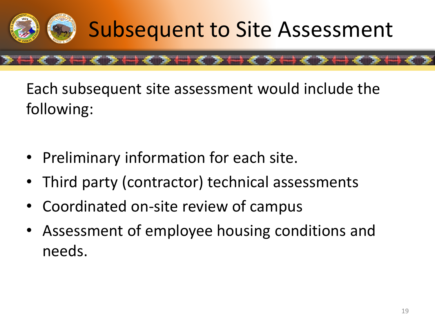

Each subsequent site assessment would include the following:

- Preliminary information for each site.
- Third party (contractor) technical assessments
- Coordinated on-site review of campus
- Assessment of employee housing conditions and needs.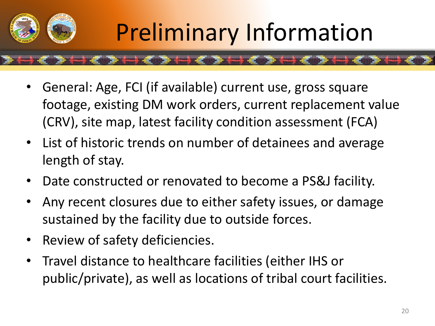

## Preliminary Information

- General: Age, FCI (if available) current use, gross square footage, existing DM work orders, current replacement value (CRV), site map, latest facility condition assessment (FCA)
- List of historic trends on number of detainees and average length of stay.
- Date constructed or renovated to become a PS&J facility.
- Any recent closures due to either safety issues, or damage sustained by the facility due to outside forces.
- Review of safety deficiencies.
- Travel distance to healthcare facilities (either IHS or public/private), as well as locations of tribal court facilities.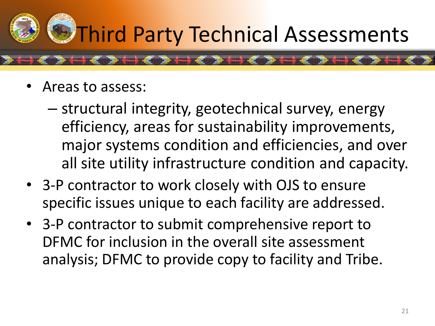# **D** Third Party Technical Assessments

- Areas to assess:
	- structural integrity, geotechnical survey, energy efficiency, areas for sustainability improvements, major systems condition and efficiencies, and over all site utility infrastructure condition and capacity.
- 3-P contractor to work closely with OJS to ensure specific issues unique to each facility are addressed.
- 3-P contractor to submit comprehensive report to DFMC for inclusion in the overall site assessment analysis; DFMC to provide copy to facility and Tribe.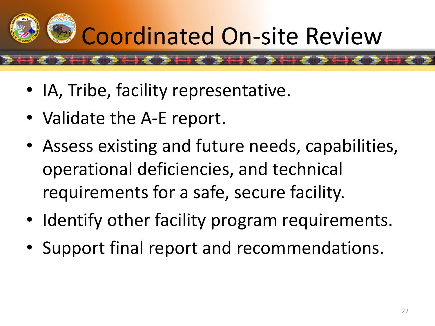

- IA, Tribe, facility representative.
- Validate the A-E report.
- Assess existing and future needs, capabilities, operational deficiencies, and technical requirements for a safe, secure facility.
- Identify other facility program requirements.
- Support final report and recommendations.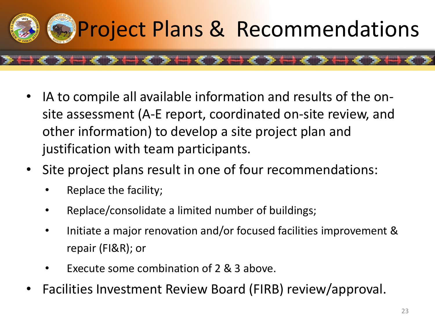

- IA to compile all available information and results of the onsite assessment (A-E report, coordinated on-site review, and other information) to develop a site project plan and justification with team participants.
- Site project plans result in one of four recommendations:
	- Replace the facility;
	- Replace/consolidate a limited number of buildings;
	- Initiate a major renovation and/or focused facilities improvement & repair (FI&R); or
	- Execute some combination of 2 & 3 above.
- Facilities Investment Review Board (FIRB) review/approval.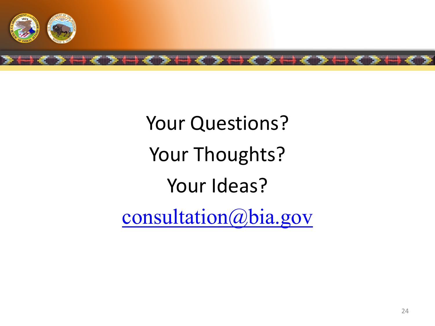

## Your Questions? Your Thoughts? Your Ideas?

[consultation@bia.gov](mailto:consultation@bia.gov)